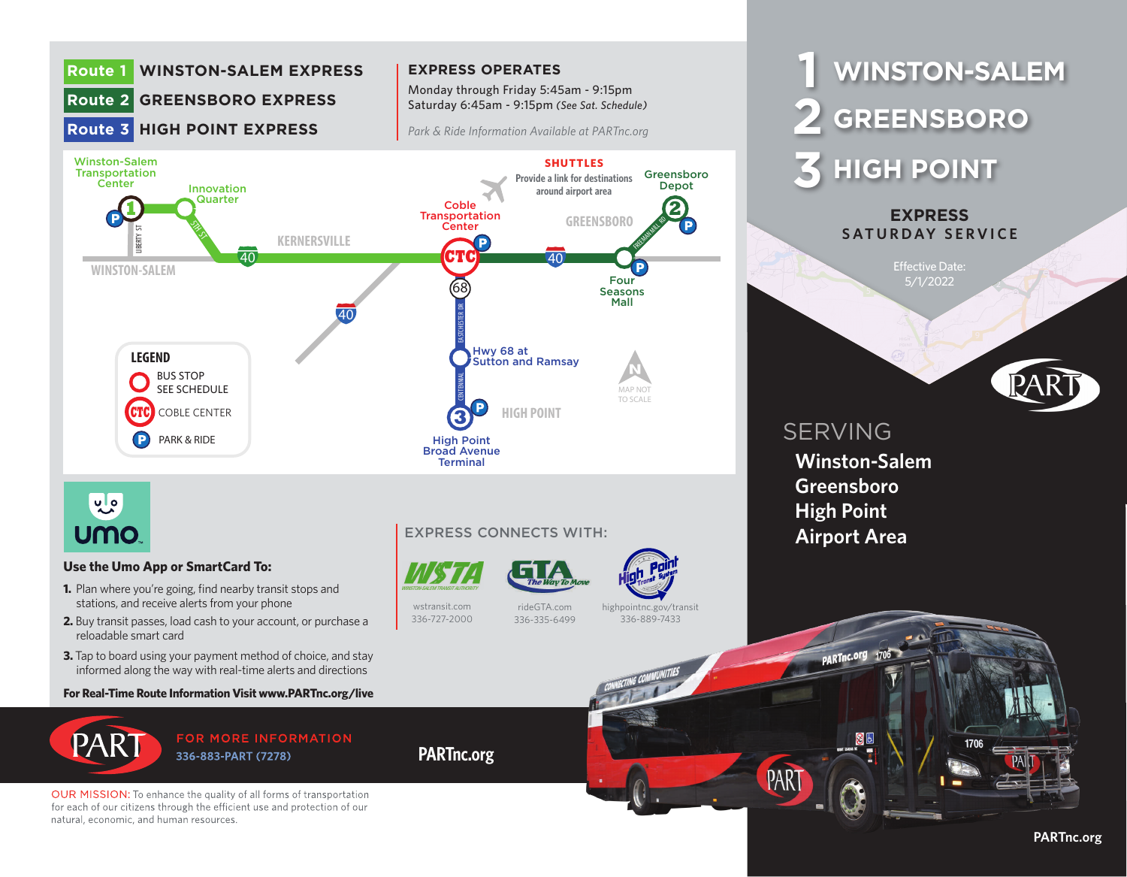

natural, economic, and human resources.

## **PARTnc.org**